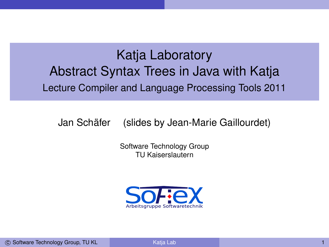# Katja Laboratory Abstract Syntax Trees in Java with Katja Lecture Compiler and Language Processing Tools 2011

Jan Schäfer (slides by Jean-Marie Gaillourdet)

Software Technology Group TU Kaiserslautern

<span id="page-0-0"></span>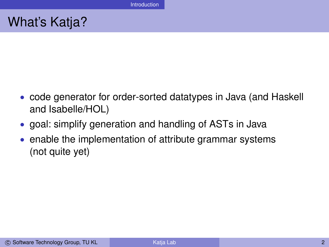# What's Katja?

- code generator for order-sorted datatypes in Java (and Haskell and Isabelle/HOL)
- goal: simplify generation and handling of ASTs in Java
- enable the implementation of attribute grammar systems (not quite yet)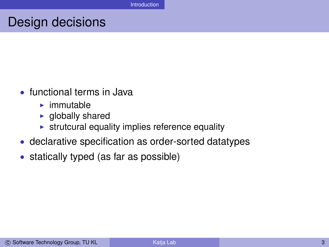### Design decisions

- functional terms in Java
	- $\blacktriangleright$  immutable
	- $\blacktriangleright$  globally shared
	- $\triangleright$  strutcural equality implies reference equality
- declarative specification as order-sorted datatypes
- statically typed (as far as possible)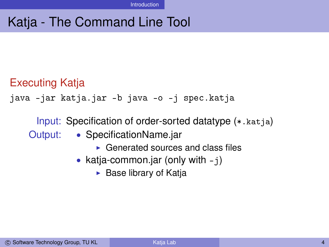# Katja - The Command Line Tool

### Executing Katja

java -jar katja.jar -b java -o -j spec.katja

Input: Specification of order-sorted datatype (\*.katja) Output: • SpecificationName.jar

- $\triangleright$  Generated sources and class files
- katja-common.jar (only with  $-i$ )
	- $\blacktriangleright$  Base library of Katja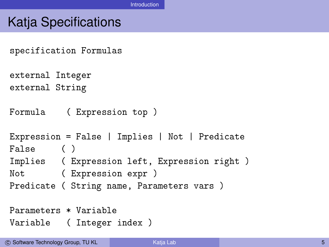### Katja Specifications

specification Formulas

```
external Integer
external String
```

```
Formula ( Expression top )
```

```
Expression = False | Implies | Not | Predicate
False ( )
Implies ( Expression left, Expression right )
Not ( Expression expr )
Predicate ( String name, Parameters vars )
```

```
Parameters * Variable
Variable ( Integer index )
```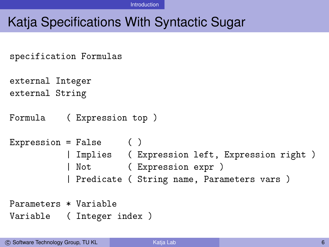Introduction

# Katja Specifications With Syntactic Sugar

```
specification Formulas
external Integer
external String
Formula ( Expression top )
Expression = False ()
          | Implies ( Expression left, Expression right )
           | Not ( Expression expr )
          | Predicate ( String name, Parameters vars )
Parameters * Variable
Variable ( Integer index )
```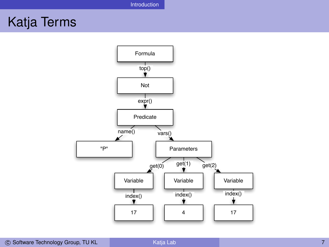# Katja Terms

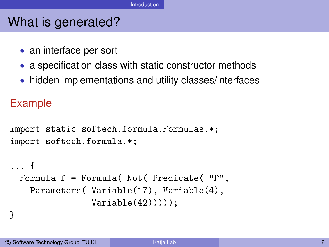# What is generated?

- an interface per sort
- a specification class with static constructor methods
- hidden implementations and utility classes/interfaces

### Example

```
import static softech.formula.Formulas.*;
import softech.formula.*;
```

```
... {
 Formula f = Formula( Not( Predicate( "P",
   Parameters( Variable(17), Variable(4),
                Variable(42))));
```
#### }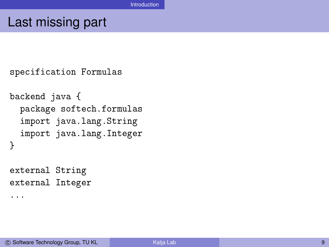### Last missing part

```
specification Formulas
backend java {
  package softech.formulas
  import java.lang.String
  import java.lang.Integer
}
external String
external Integer
...
```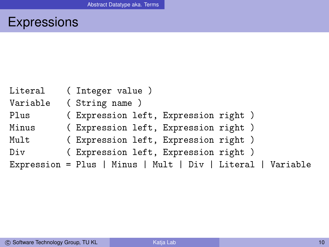# Expressions

| Literal  | (Integer value)                                             |
|----------|-------------------------------------------------------------|
| Variable | (String name)                                               |
| Plus     | ( Expression left, Expression right )                       |
| Minus    | (Expression left, Expression right)                         |
| Mult     | (Expression left, Expression right)                         |
| Div      | (Expression left, Expression right)                         |
|          | Expression = Plus   Minus   Mult   Div   Literal   Variable |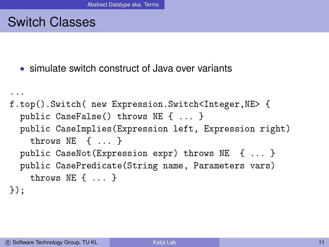### Switch Classes

• simulate switch construct of Java over variants

```
...
f.top().Switch( new Expression.Switch<Integer,NE> {
  public CaseFalse() throws NE { ... }
  public CaseImplies(Expression left, Expression right)
    throws NE { ... }
  public CaseNot(Expression expr) throws NE { ... }
  public CasePredicate(String name, Parameters vars)
    throws NE { ... }
});
```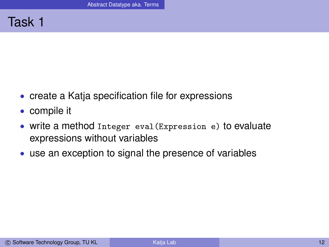#### Task 1

- create a Katja specification file for expressions
- compile it
- write a method Integer eval(Expression e) to evaluate expressions without variables
- use an exception to signal the presence of variables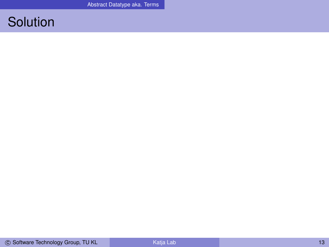## **Solution**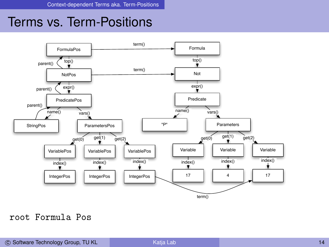### Terms vs. Term-Positions



#### root Formula Pos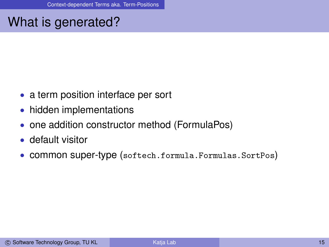# What is generated?

- a term position interface per sort
- hidden implementations
- one addition constructor method (FormulaPos)
- default visitor
- common super-type (softech.formula.Formulas.SortPos)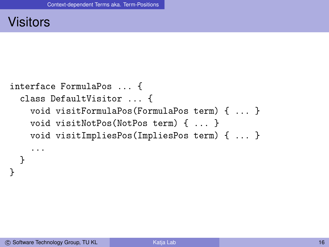#### **Visitors**

```
interface FormulaPos ... {
  class DefaultVisitor ... {
    void visitFormulaPos(FormulaPos term) { ... }
    void visitNotPos(NotPos term) { ... }
    void visitImpliesPos(ImpliesPos term) { ... }
    ...
  }
}
```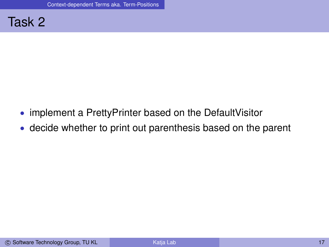

- implement a PrettyPrinter based on the Default Visitor
- decide whether to print out parenthesis based on the parent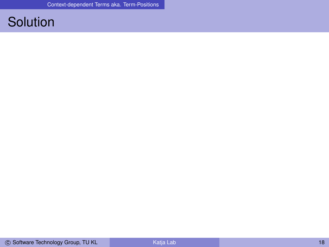# **Solution**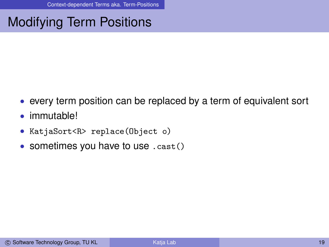# Modifying Term Positions

- every term position can be replaced by a term of equivalent sort
- immutable!
- KatjaSort<R> replace(Object o)
- sometimes you have to use . cast()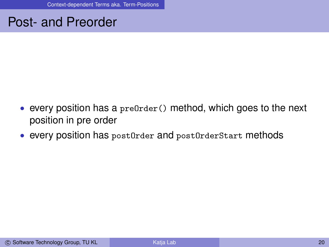### Post- and Preorder

- every position has a predrder() method, which goes to the next position in pre order
- every position has postOrder and postOrderStart methods